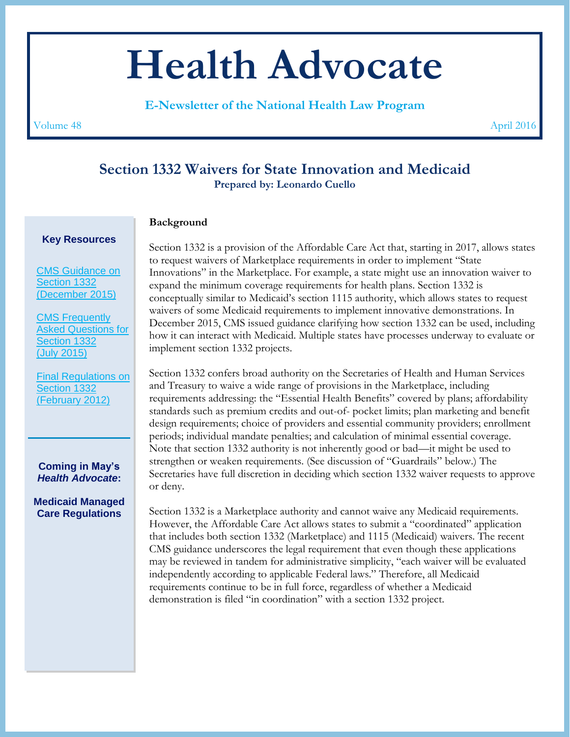# **Health Advocate**

**E-Newsletter of the National Health Law Program**

Volume 48 April 2016

## **Section 1332 Waivers for State Innovation and Medicaid Prepared by: Leonardo Cuello**

### **Background**

Section 1332 is a provision of the Affordable Care Act that, starting in 2017, allows states to request waivers of Marketplace requirements in order to implement "State Innovations" in the Marketplace. For example, a state might use an innovation waiver to expand the minimum coverage requirements for health plans. Section 1332 is conceptually similar to Medicaid's section 1115 authority, which allows states to request waivers of some Medicaid requirements to implement innovative demonstrations. In December 2015, CMS issued guidance clarifying how section 1332 can be used, including how it can interact with Medicaid. Multiple states have processes underway to evaluate or implement section 1332 projects.

Section 1332 confers broad authority on the Secretaries of Health and Human Services and Treasury to waive a wide range of provisions in the Marketplace, including requirements addressing: the "Essential Health Benefits" covered by plans; affordability standards such as premium credits and out-of- pocket limits; plan marketing and benefit design requirements; choice of providers and essential community providers; enrollment periods; individual mandate penalties; and calculation of minimal essential coverage. Note that section 1332 authority is not inherently good or bad—it might be used to strengthen or weaken requirements. (See discussion of "Guardrails" below.) The Secretaries have full discretion in deciding which section 1332 waiver requests to approve or deny.

Section 1332 is a Marketplace authority and cannot waive any Medicaid requirements. However, the Affordable Care Act allows states to submit a "coordinated" application that includes both section 1332 (Marketplace) and 1115 (Medicaid) waivers. The recent CMS guidance underscores the legal requirement that even though these applications may be reviewed in tandem for administrative simplicity, "each waiver will be evaluated independently according to applicable Federal laws." Therefore, all Medicaid requirements continue to be in full force, regardless of whether a Medicaid demonstration is filed "in coordination" with a section 1332 project.

[CMS Guidance on](https://www.gpo.gov/fdsys/pkg/FR-2015-12-16/pdf/2015-31563.pdf)  [Section 1332](https://www.gpo.gov/fdsys/pkg/FR-2015-12-16/pdf/2015-31563.pdf)

[\(December 2015\)](https://www.gpo.gov/fdsys/pkg/FR-2015-12-16/pdf/2015-31563.pdf)

**Key Resources**

[CMS Frequently](https://www.cms.gov/CCIIO/Programs-and-Initiatives/State-Innovation-Waivers/Section_1332_state_Innovation_Waivers-.html)  [Asked Questions for](https://www.cms.gov/CCIIO/Programs-and-Initiatives/State-Innovation-Waivers/Section_1332_state_Innovation_Waivers-.html)  [Section 1332](https://www.cms.gov/CCIIO/Programs-and-Initiatives/State-Innovation-Waivers/Section_1332_state_Innovation_Waivers-.html) [\(July 2015\)](https://www.cms.gov/CCIIO/Programs-and-Initiatives/State-Innovation-Waivers/Section_1332_state_Innovation_Waivers-.html)

[Final Regulations on](https://www.gpo.gov/fdsys/pkg/FR-2012-02-27/pdf/2012-4395.pdf)  [Section 1332](https://www.gpo.gov/fdsys/pkg/FR-2012-02-27/pdf/2012-4395.pdf)  [\(February 2012\)](https://www.gpo.gov/fdsys/pkg/FR-2012-02-27/pdf/2012-4395.pdf)

**Coming in May's** *Health Advocate***:**

**Medicaid Managed Care Regulations**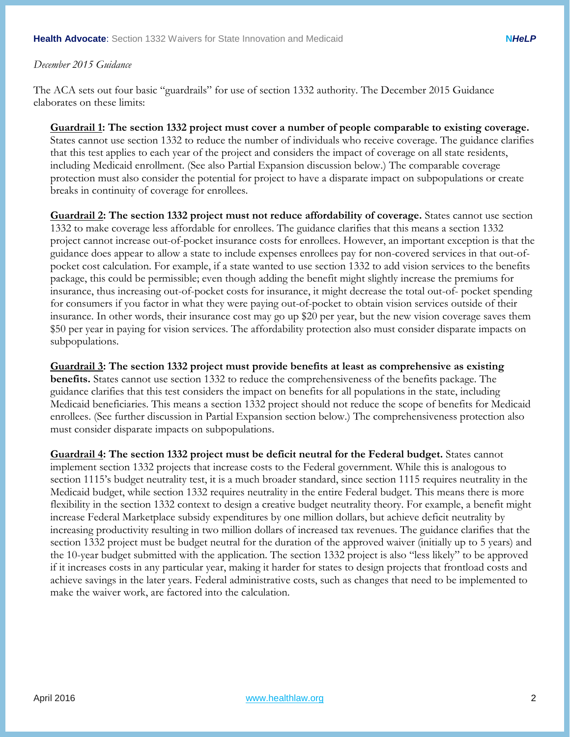#### *December 2015 Guidance*

The ACA sets out four basic "guardrails" for use of section 1332 authority. The December 2015 Guidance elaborates on these limits:

#### **Guardrail 1: The section 1332 project must cover a number of people comparable to existing coverage.**

States cannot use section 1332 to reduce the number of individuals who receive coverage. The guidance clarifies that this test applies to each year of the project and considers the impact of coverage on all state residents, including Medicaid enrollment. (See also Partial Expansion discussion below.) The comparable coverage protection must also consider the potential for project to have a disparate impact on subpopulations or create breaks in continuity of coverage for enrollees.

**Guardrail 2: The section 1332 project must not reduce affordability of coverage.** States cannot use section 1332 to make coverage less affordable for enrollees. The guidance clarifies that this means a section 1332 project cannot increase out-of-pocket insurance costs for enrollees. However, an important exception is that the guidance does appear to allow a state to include expenses enrollees pay for non-covered services in that out-ofpocket cost calculation. For example, if a state wanted to use section 1332 to add vision services to the benefits package, this could be permissible; even though adding the benefit might slightly increase the premiums for insurance, thus increasing out-of-pocket costs for insurance, it might decrease the total out-of- pocket spending for consumers if you factor in what they were paying out-of-pocket to obtain vision services outside of their insurance. In other words, their insurance cost may go up \$20 per year, but the new vision coverage saves them \$50 per year in paying for vision services. The affordability protection also must consider disparate impacts on subpopulations.

**Guardrail 3: The section 1332 project must provide benefits at least as comprehensive as existing benefits.** States cannot use section 1332 to reduce the comprehensiveness of the benefits package. The guidance clarifies that this test considers the impact on benefits for all populations in the state, including Medicaid beneficiaries. This means a section 1332 project should not reduce the scope of benefits for Medicaid enrollees. (See further discussion in Partial Expansion section below.) The comprehensiveness protection also must consider disparate impacts on subpopulations.

**Guardrail 4: The section 1332 project must be deficit neutral for the Federal budget.** States cannot implement section 1332 projects that increase costs to the Federal government. While this is analogous to section 1115's budget neutrality test, it is a much broader standard, since section 1115 requires neutrality in the Medicaid budget, while section 1332 requires neutrality in the entire Federal budget. This means there is more flexibility in the section 1332 context to design a creative budget neutrality theory. For example, a benefit might increase Federal Marketplace subsidy expenditures by one million dollars, but achieve deficit neutrality by increasing productivity resulting in two million dollars of increased tax revenues. The guidance clarifies that the section 1332 project must be budget neutral for the duration of the approved waiver (initially up to 5 years) and the 10-year budget submitted with the application. The section 1332 project is also "less likely" to be approved if it increases costs in any particular year, making it harder for states to design projects that frontload costs and achieve savings in the later years. Federal administrative costs, such as changes that need to be implemented to make the waiver work, are factored into the calculation.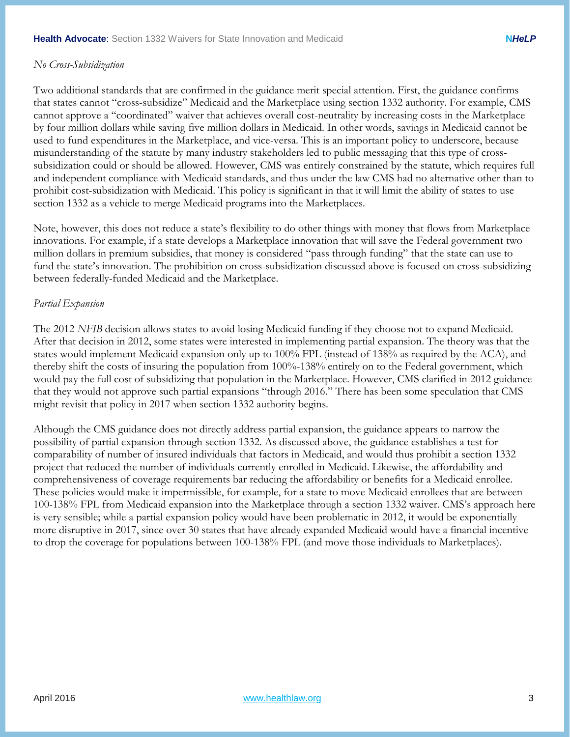#### *No Cross-Subsidization*

Two additional standards that are confirmed in the guidance merit special attention. First, the guidance confirms that states cannot "cross-subsidize" Medicaid and the Marketplace using section 1332 authority. For example, CMS cannot approve a "coordinated" waiver that achieves overall cost-neutrality by increasing costs in the Marketplace by four million dollars while saving five million dollars in Medicaid. In other words, savings in Medicaid cannot be used to fund expenditures in the Marketplace, and vice-versa. This is an important policy to underscore, because misunderstanding of the statute by many industry stakeholders led to public messaging that this type of crosssubsidization could or should be allowed. However, CMS was entirely constrained by the statute, which requires full and independent compliance with Medicaid standards, and thus under the law CMS had no alternative other than to prohibit cost-subsidization with Medicaid. This policy is significant in that it will limit the ability of states to use section 1332 as a vehicle to merge Medicaid programs into the Marketplaces.

Note, however, this does not reduce a state's flexibility to do other things with money that flows from Marketplace innovations. For example, if a state develops a Marketplace innovation that will save the Federal government two million dollars in premium subsidies, that money is considered "pass through funding" that the state can use to fund the state's innovation. The prohibition on cross-subsidization discussed above is focused on cross-subsidizing between federally-funded Medicaid and the Marketplace.

#### *Partial Expansion*

The 2012 *NFIB* decision allows states to avoid losing Medicaid funding if they choose not to expand Medicaid. After that decision in 2012, some states were interested in implementing partial expansion. The theory was that the states would implement Medicaid expansion only up to 100% FPL (instead of 138% as required by the ACA), and thereby shift the costs of insuring the population from 100%-138% entirely on to the Federal government, which would pay the full cost of subsidizing that population in the Marketplace. However, CMS clarified in 2012 guidance that they would not approve such partial expansions "through 2016." There has been some speculation that CMS might revisit that policy in 2017 when section 1332 authority begins.

Although the CMS guidance does not directly address partial expansion, the guidance appears to narrow the possibility of partial expansion through section 1332. As discussed above, the guidance establishes a test for comparability of number of insured individuals that factors in Medicaid, and would thus prohibit a section 1332 project that reduced the number of individuals currently enrolled in Medicaid. Likewise, the affordability and comprehensiveness of coverage requirements bar reducing the affordability or benefits for a Medicaid enrollee. These policies would make it impermissible, for example, for a state to move Medicaid enrollees that are between 100-138% FPL from Medicaid expansion into the Marketplace through a section 1332 waiver. CMS's approach here is very sensible; while a partial expansion policy would have been problematic in 2012, it would be exponentially more disruptive in 2017, since over 30 states that have already expanded Medicaid would have a financial incentive to drop the coverage for populations between 100-138% FPL (and move those individuals to Marketplaces).